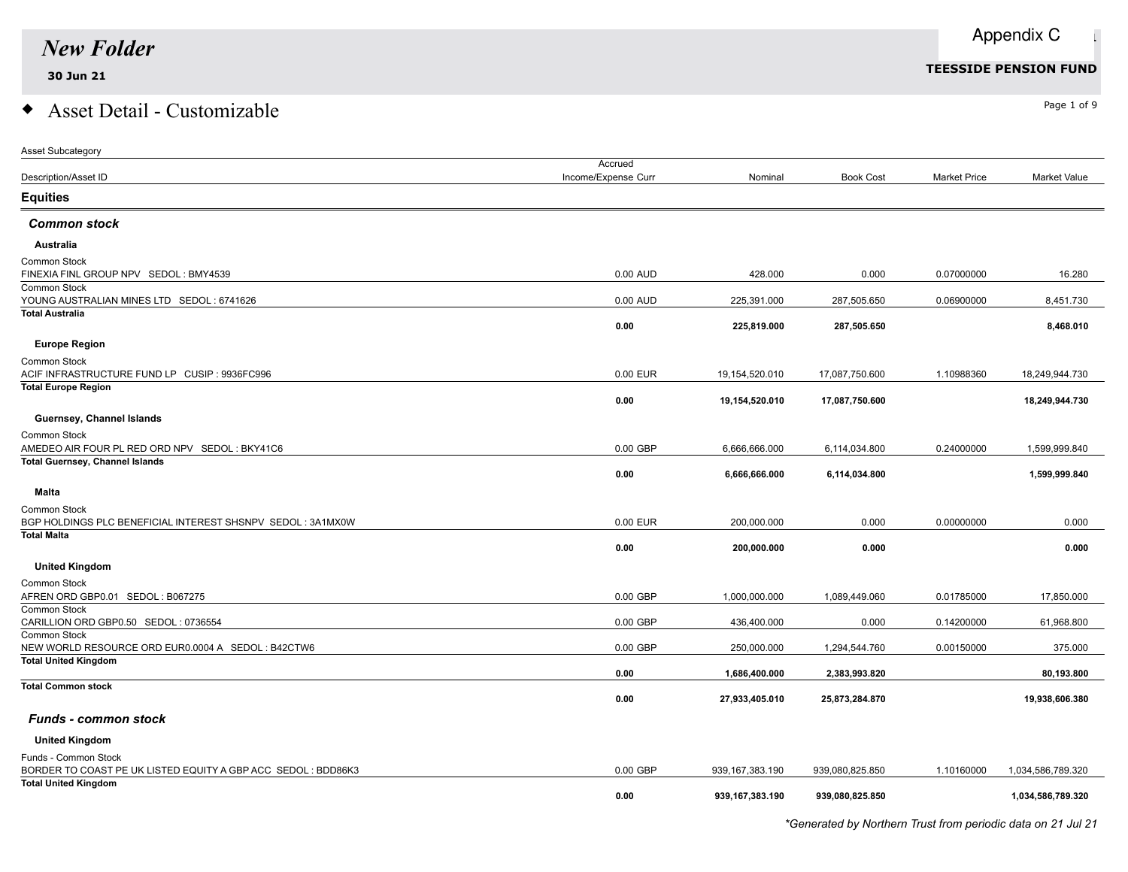### $\bullet$  Asset Detail - Customizable  $\bullet$

| <b>Asset Subcategory</b>                                                         |                     |                    |                  |                     |                   |
|----------------------------------------------------------------------------------|---------------------|--------------------|------------------|---------------------|-------------------|
|                                                                                  | Accrued             |                    |                  |                     |                   |
| Description/Asset ID                                                             | Income/Expense Curr | Nominal            | <b>Book Cost</b> | <b>Market Price</b> | Market Value      |
| <b>Equities</b>                                                                  |                     |                    |                  |                     |                   |
| <b>Common stock</b>                                                              |                     |                    |                  |                     |                   |
| Australia                                                                        |                     |                    |                  |                     |                   |
| Common Stock                                                                     |                     |                    |                  |                     |                   |
| FINEXIA FINL GROUP NPV SEDOL: BMY4539                                            | 0.00 AUD            | 428.000            | 0.000            | 0.07000000          | 16.280            |
| Common Stock                                                                     |                     |                    |                  |                     |                   |
| YOUNG AUSTRALIAN MINES LTD SEDOL: 6741626                                        | 0.00 AUD            | 225,391.000        | 287,505.650      | 0.06900000          | 8,451.730         |
| <b>Total Australia</b>                                                           | 0.00                | 225,819.000        | 287,505.650      |                     | 8,468.010         |
| <b>Europe Region</b>                                                             |                     |                    |                  |                     |                   |
|                                                                                  |                     |                    |                  |                     |                   |
| Common Stock<br>ACIF INFRASTRUCTURE FUND LP CUSIP : 9936FC996                    | 0.00 EUR            | 19,154,520.010     | 17,087,750.600   | 1.10988360          | 18,249,944.730    |
| <b>Total Europe Region</b>                                                       |                     |                    |                  |                     |                   |
|                                                                                  | 0.00                | 19,154,520.010     | 17,087,750.600   |                     | 18,249,944.730    |
| Guernsey, Channel Islands                                                        |                     |                    |                  |                     |                   |
| Common Stock                                                                     |                     |                    |                  |                     |                   |
| AMEDEO AIR FOUR PL RED ORD NPV SEDOL: BKY41C6                                    | $0.00$ GBP          | 6,666,666.000      | 6,114,034.800    | 0.24000000          | 1,599,999.840     |
| <b>Total Guernsey, Channel Islands</b>                                           |                     |                    |                  |                     |                   |
|                                                                                  | 0.00                | 6,666,666.000      | 6,114,034.800    |                     | 1,599,999.840     |
| <b>Malta</b>                                                                     |                     |                    |                  |                     |                   |
| Common Stock                                                                     |                     |                    |                  |                     |                   |
| BGP HOLDINGS PLC BENEFICIAL INTEREST SHSNPV SEDOL: 3A1MX0W                       | 0.00 EUR            | 200,000.000        | 0.000            | 0.00000000          | 0.000             |
| <b>Total Malta</b>                                                               |                     |                    |                  |                     |                   |
|                                                                                  | 0.00                | 200,000.000        | 0.000            |                     | 0.000             |
| <b>United Kingdom</b>                                                            |                     |                    |                  |                     |                   |
| Common Stock                                                                     |                     |                    |                  |                     |                   |
| AFREN ORD GBP0.01 SEDOL: B067275                                                 | $0.00$ GBP          | 1,000,000.000      | 1,089,449.060    | 0.01785000          | 17,850.000        |
| Common Stock                                                                     |                     |                    |                  |                     |                   |
| CARILLION ORD GBP0.50 SEDOL: 0736554                                             | $0.00$ GBP          | 436,400.000        | 0.000            | 0.14200000          | 61,968.800        |
| Common Stock                                                                     |                     |                    |                  |                     |                   |
| NEW WORLD RESOURCE ORD EUR0.0004 A SEDOL: B42CTW6<br><b>Total United Kingdom</b> | 0.00 GBP            | 250,000.000        | 1,294,544.760    | 0.00150000          | 375.000           |
|                                                                                  | 0.00                | 1,686,400.000      | 2,383,993.820    |                     | 80,193.800        |
| <b>Total Common stock</b>                                                        |                     |                    |                  |                     |                   |
|                                                                                  | 0.00                | 27,933,405.010     | 25,873,284.870   |                     | 19,938,606.380    |
| <b>Funds - common stock</b>                                                      |                     |                    |                  |                     |                   |
| <b>United Kingdom</b>                                                            |                     |                    |                  |                     |                   |
| Funds - Common Stock                                                             |                     |                    |                  |                     |                   |
| BORDER TO COAST PE UK LISTED EQUITY A GBP ACC SEDOL: BDD86K3                     | $0.00$ GBP          | 939, 167, 383. 190 | 939,080,825.850  | 1.10160000          | 1,034,586,789.320 |
| <b>Total United Kingdom</b>                                                      |                     |                    |                  |                     |                   |
|                                                                                  | 0.00                | 939,167,383.190    | 939,080,825.850  |                     | 1,034,586,789.320 |
|                                                                                  |                     |                    |                  |                     |                   |

*\*Generated by Northern Trust from periodic data on 21 Jul 21*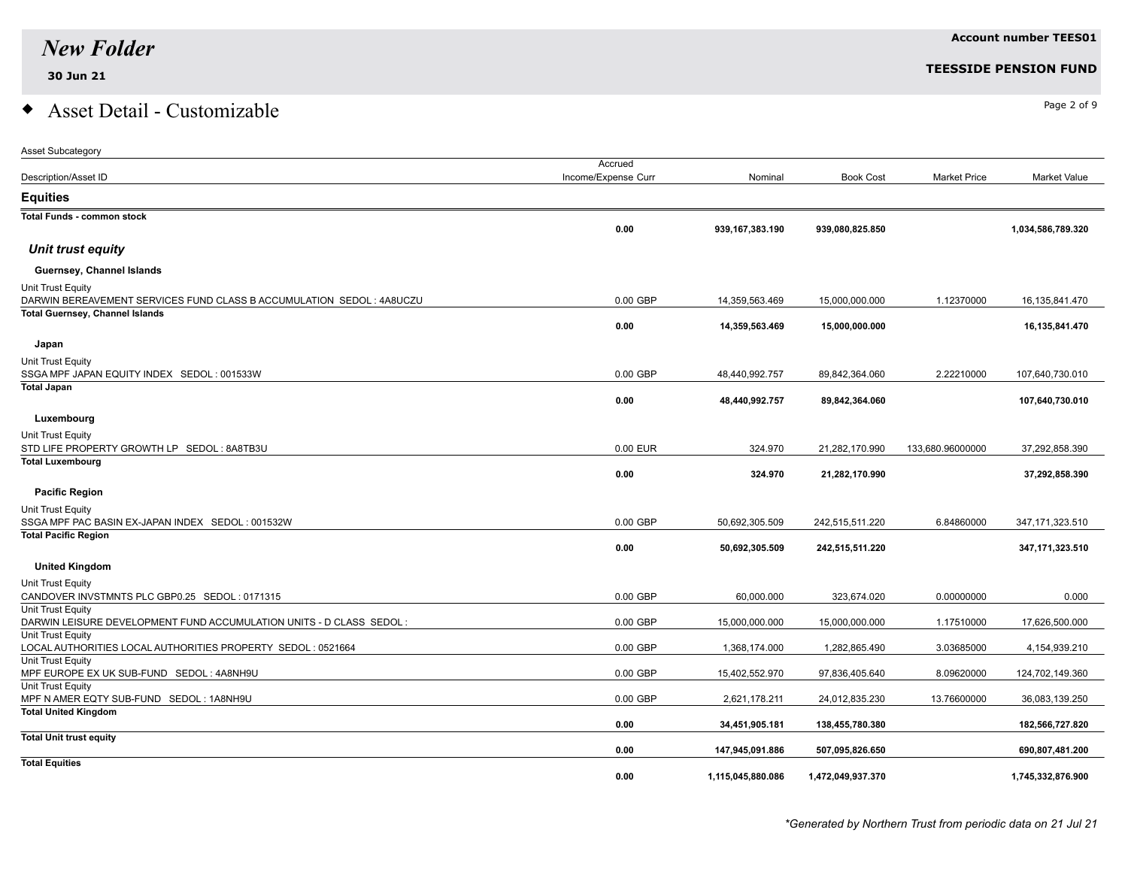Asset Subcategory

## $\bullet$  Asset Detail - Customizable  $\bullet$

|                                                                                  | Accrued             |                   |                   |                     |                   |
|----------------------------------------------------------------------------------|---------------------|-------------------|-------------------|---------------------|-------------------|
| Description/Asset ID                                                             | Income/Expense Curr | Nominal           | <b>Book Cost</b>  | <b>Market Price</b> | Market Value      |
| <b>Equities</b>                                                                  |                     |                   |                   |                     |                   |
| <b>Total Funds - common stock</b>                                                |                     |                   |                   |                     |                   |
|                                                                                  | 0.00                | 939,167,383.190   | 939,080,825.850   |                     | 1,034,586,789.320 |
| Unit trust equity                                                                |                     |                   |                   |                     |                   |
| Guernsey, Channel Islands                                                        |                     |                   |                   |                     |                   |
| Unit Trust Equity                                                                |                     |                   |                   |                     |                   |
| DARWIN BEREAVEMENT SERVICES FUND CLASS B ACCUMULATION SEDOL: 4A8UCZU             | 0.00 GBP            | 14,359,563.469    | 15,000,000.000    | 1.12370000          | 16,135,841.470    |
| <b>Total Guernsey, Channel Islands</b>                                           |                     |                   |                   |                     |                   |
|                                                                                  | 0.00                | 14,359,563.469    | 15,000,000.000    |                     | 16,135,841.470    |
| Japan                                                                            |                     |                   |                   |                     |                   |
| Unit Trust Equity                                                                |                     |                   |                   |                     |                   |
| SSGA MPF JAPAN EQUITY INDEX SEDOL: 001533W                                       | 0.00 GBP            | 48,440,992.757    | 89,842,364.060    | 2.22210000          | 107,640,730.010   |
| <b>Total Japan</b>                                                               |                     |                   |                   |                     |                   |
|                                                                                  | 0.00                | 48,440,992.757    | 89,842,364.060    |                     | 107,640,730.010   |
| Luxembourg                                                                       |                     |                   |                   |                     |                   |
| Unit Trust Equity                                                                |                     |                   |                   |                     |                   |
| STD LIFE PROPERTY GROWTH LP SEDOL: 8A8TB3U                                       | 0.00 EUR            | 324.970           | 21,282,170.990    | 133,680.96000000    | 37,292,858.390    |
| <b>Total Luxembourg</b>                                                          |                     |                   |                   |                     |                   |
|                                                                                  | 0.00                | 324.970           | 21,282,170.990    |                     | 37,292,858.390    |
| <b>Pacific Region</b>                                                            |                     |                   |                   |                     |                   |
| Unit Trust Equity                                                                |                     |                   |                   |                     |                   |
| SSGA MPF PAC BASIN EX-JAPAN INDEX SEDOL: 001532W                                 | 0.00 GBP            | 50,692,305.509    | 242,515,511.220   | 6.84860000          | 347, 171, 323.510 |
| <b>Total Pacific Region</b>                                                      |                     |                   |                   |                     |                   |
|                                                                                  | 0.00                | 50,692,305.509    | 242,515,511.220   |                     | 347,171,323.510   |
| <b>United Kingdom</b>                                                            |                     |                   |                   |                     |                   |
| Unit Trust Equity                                                                |                     |                   |                   |                     |                   |
| CANDOVER INVSTMNTS PLC GBP0.25 SEDOL: 0171315                                    | 0.00 GBP            | 60,000.000        | 323,674.020       | 0.00000000          | 0.000             |
| Unit Trust Equity                                                                |                     |                   |                   |                     |                   |
| DARWIN LEISURE DEVELOPMENT FUND ACCUMULATION UNITS - D CLASS SEDOL:              | 0.00 GBP            | 15,000,000.000    | 15,000,000.000    | 1.17510000          | 17,626,500.000    |
| Unit Trust Equity                                                                |                     |                   |                   |                     |                   |
| LOCAL AUTHORITIES LOCAL AUTHORITIES PROPERTY SEDOL: 0521664<br>Unit Trust Equity | 0.00 GBP            | 1,368,174.000     | 1,282,865.490     | 3.03685000          | 4,154,939.210     |
| MPF EUROPE EX UK SUB-FUND SEDOL: 4A8NH9U                                         | 0.00 GBP            | 15,402,552.970    | 97,836,405.640    | 8.09620000          | 124,702,149.360   |
| Unit Trust Equity                                                                |                     |                   |                   |                     |                   |
| MPF N AMER EQTY SUB-FUND SEDOL: 1A8NH9U                                          | 0.00 GBP            | 2,621,178.211     | 24,012,835.230    | 13.76600000         | 36,083,139.250    |
| <b>Total United Kingdom</b>                                                      | 0.00                | 34,451,905.181    | 138,455,780.380   |                     | 182,566,727.820   |
| <b>Total Unit trust equity</b>                                                   |                     |                   |                   |                     |                   |
|                                                                                  | 0.00                | 147,945,091.886   | 507,095,826.650   |                     | 690,807,481.200   |
| <b>Total Equities</b>                                                            |                     |                   |                   |                     |                   |
|                                                                                  | 0.00                | 1,115,045,880.086 | 1,472,049,937.370 |                     | 1,745,332,876.900 |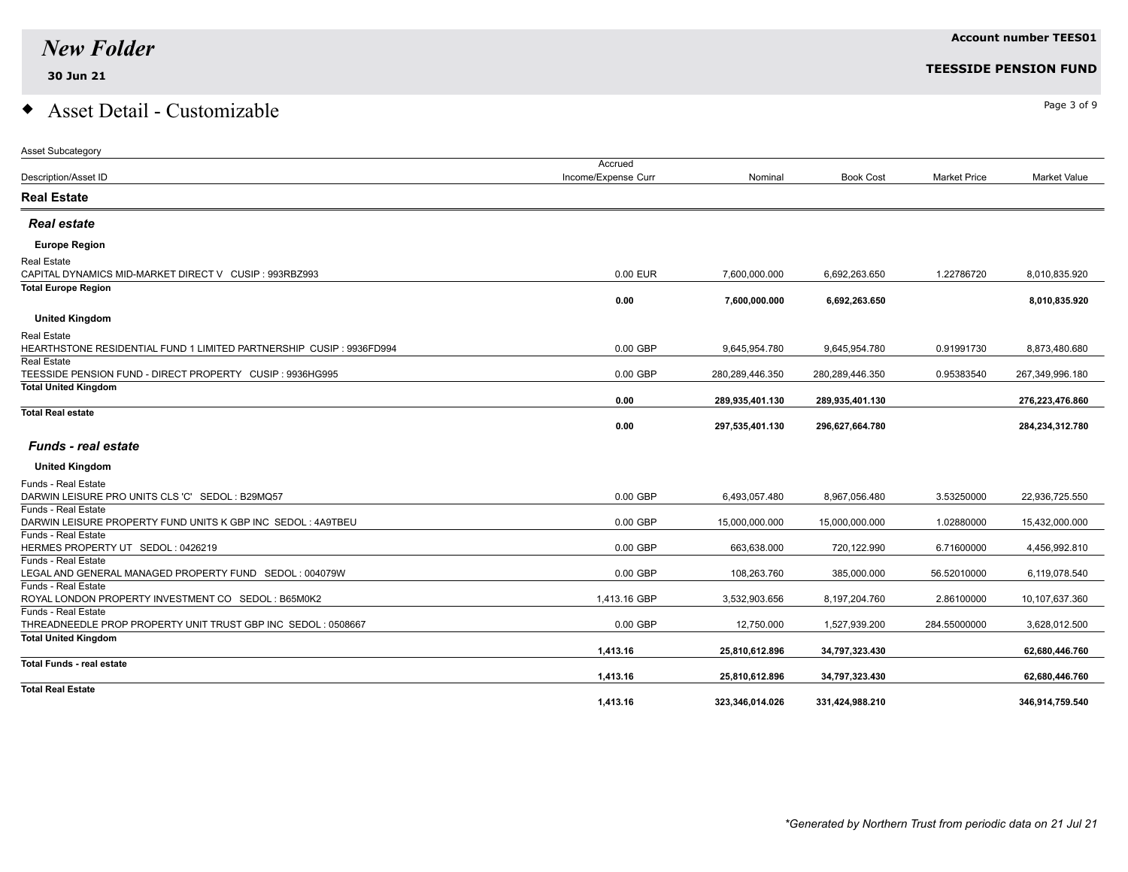### $\bullet$  Asset Detail - Customizable  $\bullet$

| <b>Asset Subcategory</b>                                                           |                     |                 |                  |                     |                 |
|------------------------------------------------------------------------------------|---------------------|-----------------|------------------|---------------------|-----------------|
|                                                                                    | Accrued             |                 |                  |                     |                 |
| Description/Asset ID                                                               | Income/Expense Curr | Nominal         | <b>Book Cost</b> | <b>Market Price</b> | Market Value    |
| <b>Real Estate</b>                                                                 |                     |                 |                  |                     |                 |
| <b>Real estate</b>                                                                 |                     |                 |                  |                     |                 |
| <b>Europe Region</b>                                                               |                     |                 |                  |                     |                 |
| Real Estate                                                                        |                     |                 |                  |                     |                 |
| CAPITAL DYNAMICS MID-MARKET DIRECT V CUSIP : 993RBZ993                             | 0.00 EUR            | 7,600,000.000   | 6,692,263.650    | 1.22786720          | 8.010.835.920   |
| <b>Total Europe Region</b>                                                         |                     |                 |                  |                     |                 |
|                                                                                    | 0.00                | 7,600,000.000   | 6,692,263.650    |                     | 8,010,835.920   |
| <b>United Kingdom</b>                                                              |                     |                 |                  |                     |                 |
| Real Estate                                                                        |                     |                 |                  |                     |                 |
| HEARTHSTONE RESIDENTIAL FUND 1 LIMITED PARTNERSHIP CUSIP : 9936FD994               | 0.00 GBP            | 9,645,954.780   | 9,645,954.780    | 0.91991730          | 8,873,480.680   |
| <b>Real Estate</b>                                                                 |                     |                 |                  |                     |                 |
| TEESSIDE PENSION FUND - DIRECT PROPERTY CUSIP : 9936HG995                          | 0.00 GBP            | 280,289,446.350 | 280,289,446.350  | 0.95383540          | 267,349,996.180 |
| <b>Total United Kingdom</b>                                                        | 0.00                | 289,935,401.130 | 289,935,401.130  |                     | 276,223,476.860 |
| <b>Total Real estate</b>                                                           |                     |                 |                  |                     |                 |
|                                                                                    | 0.00                | 297,535,401.130 | 296,627,664.780  |                     | 284,234,312.780 |
| <b>Funds - real estate</b>                                                         |                     |                 |                  |                     |                 |
| <b>United Kingdom</b>                                                              |                     |                 |                  |                     |                 |
| Funds - Real Estate                                                                |                     |                 |                  |                     |                 |
| DARWIN LEISURE PRO UNITS CLS 'C' SEDOL: B29MQ57                                    | 0.00 GBP            | 6,493,057.480   | 8,967,056.480    | 3.53250000          | 22,936,725.550  |
| Funds - Real Estate                                                                |                     |                 |                  |                     |                 |
| DARWIN LEISURE PROPERTY FUND UNITS K GBP INC SEDOL: 4A9TBEU<br>Funds - Real Estate | 0.00 GBP            | 15,000,000.000  | 15,000,000.000   | 1.02880000          | 15,432,000.000  |
| HERMES PROPERTY UT SEDOL: 0426219                                                  | 0.00 GBP            | 663,638.000     | 720,122.990      | 6.71600000          | 4,456,992.810   |
| Funds - Real Estate                                                                |                     |                 |                  |                     |                 |
| LEGAL AND GENERAL MANAGED PROPERTY FUND SEDOL: 004079W                             | 0.00 GBP            | 108,263.760     | 385,000.000      | 56.52010000         | 6,119,078.540   |
| Funds - Real Estate                                                                |                     |                 |                  |                     |                 |
| ROYAL LONDON PROPERTY INVESTMENT CO SEDOL: B65M0K2                                 | 1,413.16 GBP        | 3,532,903.656   | 8,197,204.760    | 2.86100000          | 10,107,637.360  |
| Funds - Real Estate                                                                |                     |                 |                  |                     |                 |
| THREADNEEDLE PROP PROPERTY UNIT TRUST GBP INC SEDOL: 0508667                       | 0.00 GBP            | 12,750.000      | 1,527,939.200    | 284.55000000        | 3,628,012.500   |
| <b>Total United Kingdom</b>                                                        | 1,413.16            | 25,810,612.896  | 34,797,323.430   |                     | 62,680,446.760  |
| <b>Total Funds - real estate</b>                                                   | 1,413.16            | 25,810,612.896  | 34,797,323.430   |                     | 62,680,446.760  |
| <b>Total Real Estate</b>                                                           |                     |                 |                  |                     |                 |
|                                                                                    | 1,413.16            | 323,346,014.026 | 331,424,988.210  |                     | 346,914,759.540 |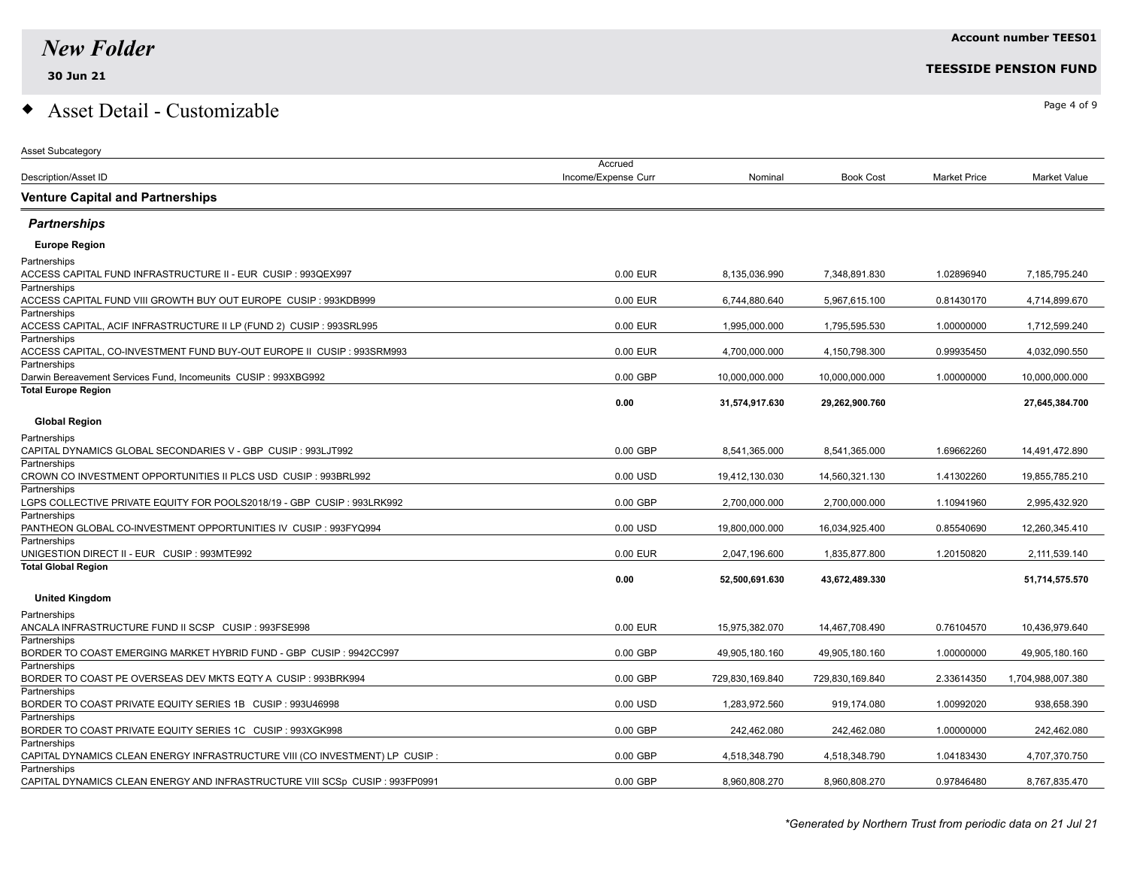**Partnerships** 

**Partnerships** 

**Partnerships** 

### $\bullet$  Asset Detail - Customizable  $\bullet$

| <b>Asset Subcategory</b>                                                               |                     |                 |                  |                     |                   |
|----------------------------------------------------------------------------------------|---------------------|-----------------|------------------|---------------------|-------------------|
|                                                                                        | Accrued             |                 |                  |                     |                   |
| <b>Description/Asset ID</b>                                                            | Income/Expense Curr | Nominal         | <b>Book Cost</b> | <b>Market Price</b> | Market Value      |
| <b>Venture Capital and Partnerships</b>                                                |                     |                 |                  |                     |                   |
| <b>Partnerships</b>                                                                    |                     |                 |                  |                     |                   |
| <b>Europe Region</b>                                                                   |                     |                 |                  |                     |                   |
| Partnerships                                                                           |                     |                 |                  |                     |                   |
| ACCESS CAPITAL FUND INFRASTRUCTURE II - EUR CUSIP : 993QEX997                          | 0.00 EUR            | 8,135,036.990   | 7,348,891.830    | 1.02896940          | 7,185,795.240     |
| Partnerships                                                                           |                     |                 |                  |                     |                   |
| ACCESS CAPITAL FUND VIII GROWTH BUY OUT EUROPE CUSIP : 993KDB999                       | 0.00 EUR            | 6,744,880.640   | 5,967,615.100    | 0.81430170          | 4,714,899.670     |
| Partnerships                                                                           |                     |                 |                  |                     |                   |
| ACCESS CAPITAL, ACIF INFRASTRUCTURE II LP (FUND 2) CUSIP : 993SRL995                   | 0.00 EUR            | 1,995,000.000   | 1,795,595.530    | 1.00000000          | 1,712,599.240     |
| Partnerships                                                                           |                     |                 |                  |                     |                   |
| ACCESS CAPITAL, CO-INVESTMENT FUND BUY-OUT EUROPE II CUSIP : 993SRM993<br>Partnerships | 0.00 EUR            | 4,700,000.000   | 4,150,798.300    | 0.99935450          | 4,032,090.550     |
| Darwin Bereavement Services Fund, Incomeunits CUSIP: 993XBG992                         | 0.00 GBP            | 10,000,000.000  | 10,000,000.000   | 1.00000000          | 10,000,000.000    |
| <b>Total Europe Region</b>                                                             |                     |                 |                  |                     |                   |
|                                                                                        | 0.00                | 31,574,917.630  | 29,262,900.760   |                     | 27,645,384.700    |
| <b>Global Region</b>                                                                   |                     |                 |                  |                     |                   |
| Partnerships                                                                           |                     |                 |                  |                     |                   |
| CAPITAL DYNAMICS GLOBAL SECONDARIES V - GBP CUSIP : 993LJT992                          | 0.00 GBP            | 8,541,365.000   | 8,541,365.000    | 1.69662260          | 14,491,472.890    |
| Partnerships                                                                           |                     |                 |                  |                     |                   |
| CROWN CO INVESTMENT OPPORTUNITIES II PLCS USD CUSIP : 993BRL992                        | 0.00 USD            | 19,412,130.030  | 14,560,321.130   | 1.41302260          | 19,855,785.210    |
| Partnerships                                                                           |                     |                 |                  |                     |                   |
| LGPS COLLECTIVE PRIVATE EQUITY FOR POOLS2018/19 - GBP CUSIP : 993LRK992                | 0.00 GBP            | 2,700,000.000   | 2,700,000.000    | 1.10941960          | 2,995,432.920     |
| Partnerships                                                                           |                     |                 |                  |                     |                   |
| PANTHEON GLOBAL CO-INVESTMENT OPPORTUNITIES IV CUSIP : 993FYQ994                       | 0.00 USD            | 19,800,000.000  | 16,034,925.400   | 0.85540690          | 12,260,345.410    |
| Partnerships<br>UNIGESTION DIRECT II - EUR CUSIP : 993MTE992                           | 0.00 EUR            | 2,047,196.600   | 1,835,877.800    | 1.20150820          | 2,111,539.140     |
| <b>Total Global Region</b>                                                             |                     |                 |                  |                     |                   |
|                                                                                        | 0.00                | 52,500,691.630  | 43,672,489.330   |                     | 51,714,575.570    |
| <b>United Kingdom</b>                                                                  |                     |                 |                  |                     |                   |
| Partnerships                                                                           |                     |                 |                  |                     |                   |
| ANCALA INFRASTRUCTURE FUND II SCSP CUSIP : 993FSE998                                   | 0.00 EUR            | 15,975,382.070  | 14,467,708.490   | 0.76104570          | 10,436,979.640    |
| Partnerships                                                                           |                     |                 |                  |                     |                   |
| BORDER TO COAST EMERGING MARKET HYBRID FUND - GBP CUSIP : 9942CC997                    | 0.00 GBP            | 49,905,180.160  | 49,905,180.160   | 1.00000000          | 49,905,180.160    |
| Partnerships                                                                           |                     |                 |                  |                     |                   |
| BORDER TO COAST PE OVERSEAS DEV MKTS EQTY A CUSIP : 993BRK994                          | 0.00 GBP            | 729,830,169.840 | 729,830,169.840  | 2.33614350          | 1,704,988,007.380 |
| Partnerships                                                                           |                     |                 |                  |                     |                   |
| BORDER TO COAST PRIVATE EQUITY SERIES 1B CUSIP : 993U46998                             | 0.00 USD            | 1,283,972.560   | 919.174.080      | 1.00992020          | 938.658.390       |

BORDER TO COAST PRIVATE EQUITY SERIES 1C CUSIP : 993XGK998 0.00 CHP 202,462.080 242,462.080 242,462.080 242,462.080 242,462.080 242,462.080 242,462.080 242,462.080 242,462.080 242,462.080 242,462.080 242,462.080 242,462.08

CAPITAL DYNAMICS CLEAN ENERGY INFRASTRUCTURE VIII (CO INVESTMENT) LP CUSIP : 0.00 GBP 4,518,348.790 4,518,348.790 1.04183430 4,707,370.750

CAPITAL DYNAMICS CLEAN ENERGY AND INFRASTRUCTURE VIII SCSp CUSIP : 993FP0991 0.00 GBP 8,960,808.270 8,960,808.270 0.97846480 8,767,835.470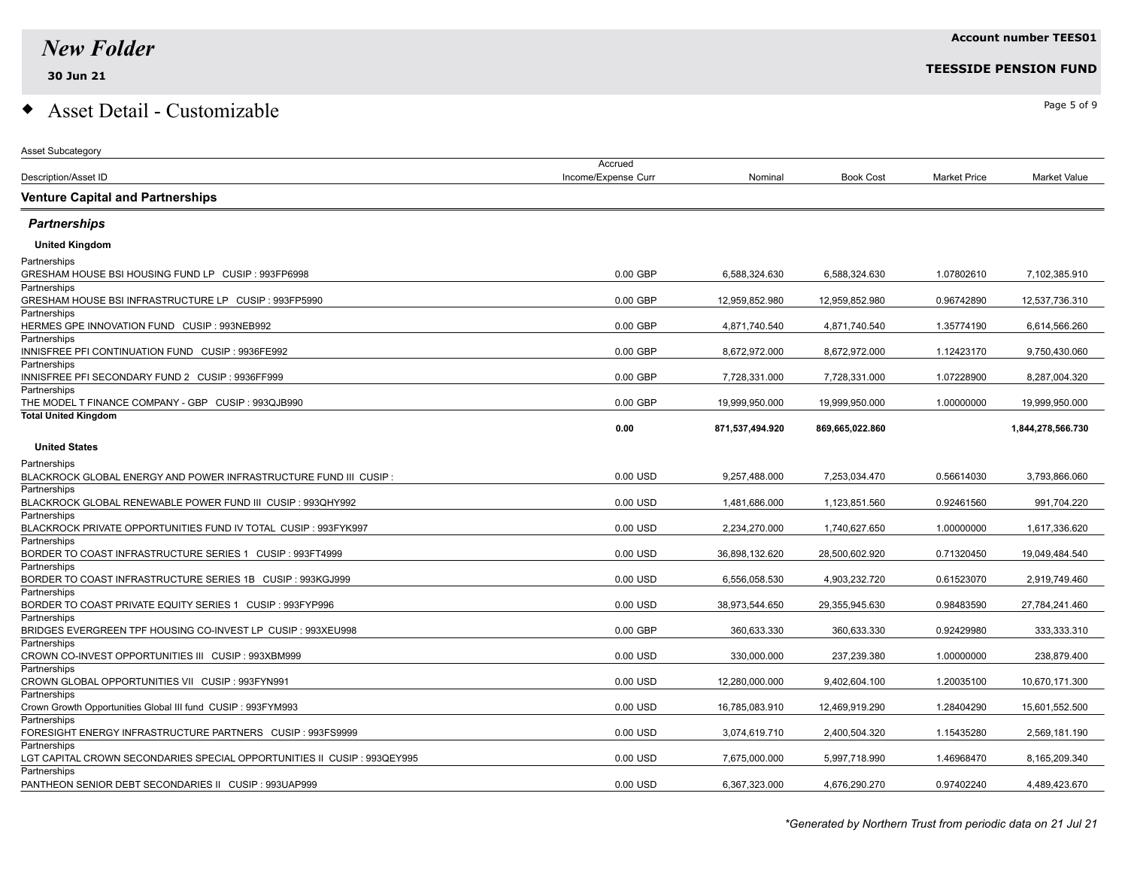Asset Subcategory

Partnerships

### $\bullet$  Asset Detail - Customizable  $\bullet$

|                                                                                 | Accrued             |                 |                  |                     |                   |
|---------------------------------------------------------------------------------|---------------------|-----------------|------------------|---------------------|-------------------|
| Description/Asset ID                                                            | Income/Expense Curr | Nominal         | <b>Book Cost</b> | <b>Market Price</b> | Market Value      |
| <b>Venture Capital and Partnerships</b>                                         |                     |                 |                  |                     |                   |
| <b>Partnerships</b>                                                             |                     |                 |                  |                     |                   |
| <b>United Kingdom</b>                                                           |                     |                 |                  |                     |                   |
| Partnerships                                                                    |                     |                 |                  |                     |                   |
| GRESHAM HOUSE BSI HOUSING FUND LP CUSIP : 993FP6998                             | 0.00 GBP            | 6,588,324.630   | 6,588,324.630    | 1.07802610          | 7,102,385.910     |
| Partnerships                                                                    |                     |                 |                  |                     |                   |
| GRESHAM HOUSE BSI INFRASTRUCTURE LP CUSIP : 993FP5990                           | $0.00$ GBP          | 12.959.852.980  | 12.959.852.980   | 0.96742890          | 12,537,736.310    |
| Partnerships                                                                    |                     |                 |                  |                     |                   |
| HERMES GPE INNOVATION FUND CUSIP : 993NEB992                                    | 0.00 GBP            | 4,871,740.540   | 4,871,740.540    | 1.35774190          | 6,614,566.260     |
| Partnerships                                                                    |                     |                 |                  |                     |                   |
| INNISFREE PFI CONTINUATION FUND CUSIP : 9936FE992                               | 0.00 GBP            | 8,672,972.000   | 8,672,972.000    | 1.12423170          | 9,750,430.060     |
| Partnerships<br>INNISFREE PFI SECONDARY FUND 2 CUSIP : 9936FF999                | 0.00 GBP            | 7,728,331.000   | 7,728,331.000    | 1.07228900          | 8,287,004.320     |
| Partnerships                                                                    |                     |                 |                  |                     |                   |
| THE MODEL T FINANCE COMPANY - GBP CUSIP : 993QJB990                             | $0.00$ GBP          | 19,999,950.000  | 19,999,950.000   | 1.00000000          | 19,999,950.000    |
| <b>Total United Kingdom</b>                                                     |                     |                 |                  |                     |                   |
|                                                                                 | 0.00                | 871,537,494.920 | 869,665,022.860  |                     | 1,844,278,566.730 |
| <b>United States</b>                                                            |                     |                 |                  |                     |                   |
|                                                                                 |                     |                 |                  |                     |                   |
| Partnerships                                                                    |                     |                 |                  |                     |                   |
| BLACKROCK GLOBAL ENERGY AND POWER INFRASTRUCTURE FUND III CUSIP:                | 0.00 USD            | 9,257,488.000   | 7.253.034.470    | 0.56614030          | 3,793,866.060     |
| Partnerships                                                                    |                     |                 |                  |                     |                   |
| BLACKROCK GLOBAL RENEWABLE POWER FUND III CUSIP : 993QHY992                     | 0.00 USD            | 1,481,686.000   | 1,123,851.560    | 0.92461560          | 991,704.220       |
| Partnerships<br>BLACKROCK PRIVATE OPPORTUNITIES FUND IV TOTAL CUSIP : 993FYK997 | 0.00 USD            | 2,234,270.000   | 1,740,627.650    | 1.00000000          | 1,617,336.620     |
| Partnerships                                                                    |                     |                 |                  |                     |                   |
| BORDER TO COAST INFRASTRUCTURE SERIES 1 CUSIP : 993FT4999                       | 0.00 USD            | 36,898,132.620  | 28,500,602.920   | 0.71320450          | 19,049,484.540    |
| Partnerships                                                                    |                     |                 |                  |                     |                   |
| BORDER TO COAST INFRASTRUCTURE SERIES 1B CUSIP : 993KGJ999                      | 0.00 USD            | 6,556,058.530   | 4,903,232.720    | 0.61523070          | 2,919,749.460     |
| Partnerships                                                                    |                     |                 |                  |                     |                   |
| BORDER TO COAST PRIVATE EQUITY SERIES 1 CUSIP : 993FYP996                       | 0.00 USD            | 38,973,544.650  | 29,355,945.630   | 0.98483590          | 27,784,241.460    |
| Partnerships                                                                    |                     |                 |                  |                     |                   |
| BRIDGES EVERGREEN TPF HOUSING CO-INVEST LP CUSIP : 993XEU998                    | $0.00$ GBP          | 360,633.330     | 360,633.330      | 0.92429980          | 333,333.310       |
| Partnerships                                                                    |                     |                 |                  |                     |                   |
| CROWN CO-INVEST OPPORTUNITIES III CUSIP : 993XBM999                             | 0.00 USD            | 330,000.000     | 237,239.380      | 1.00000000          | 238,879.400       |
| Partnerships                                                                    |                     |                 |                  |                     |                   |
| CROWN GLOBAL OPPORTUNITIES VII CUSIP : 993FYN991                                | 0.00 USD            | 12,280,000.000  | 9,402,604.100    | 1.20035100          | 10,670,171.300    |
| Partnerships                                                                    | 0.00 USD            |                 |                  |                     |                   |
| Crown Growth Opportunities Global III fund CUSIP: 993FYM993<br>Partnerships     |                     | 16,785,083.910  | 12,469,919.290   | 1.28404290          | 15,601,552.500    |
| FORESIGHT ENERGY INFRASTRUCTURE PARTNERS CUSIP : 993FS9999                      | 0.00 USD            | 3,074,619.710   | 2,400,504.320    | 1.15435280          | 2,569,181.190     |
| Partnerships                                                                    |                     |                 |                  |                     |                   |
| LGT CAPITAL CROWN SECONDARIES SPECIAL OPPORTUNITIES II CUSIP : 993QEY995        | 0.00 USD            | 7,675,000.000   | 5,997,718.990    | 1.46968470          | 8,165,209.340     |

PANTHEON SENIOR DEBT SECONDARIES II CUSIP : 993UAP999 0.00 USD 6,367,323.000 4,676,290.270 0.97402240 4,489,423.670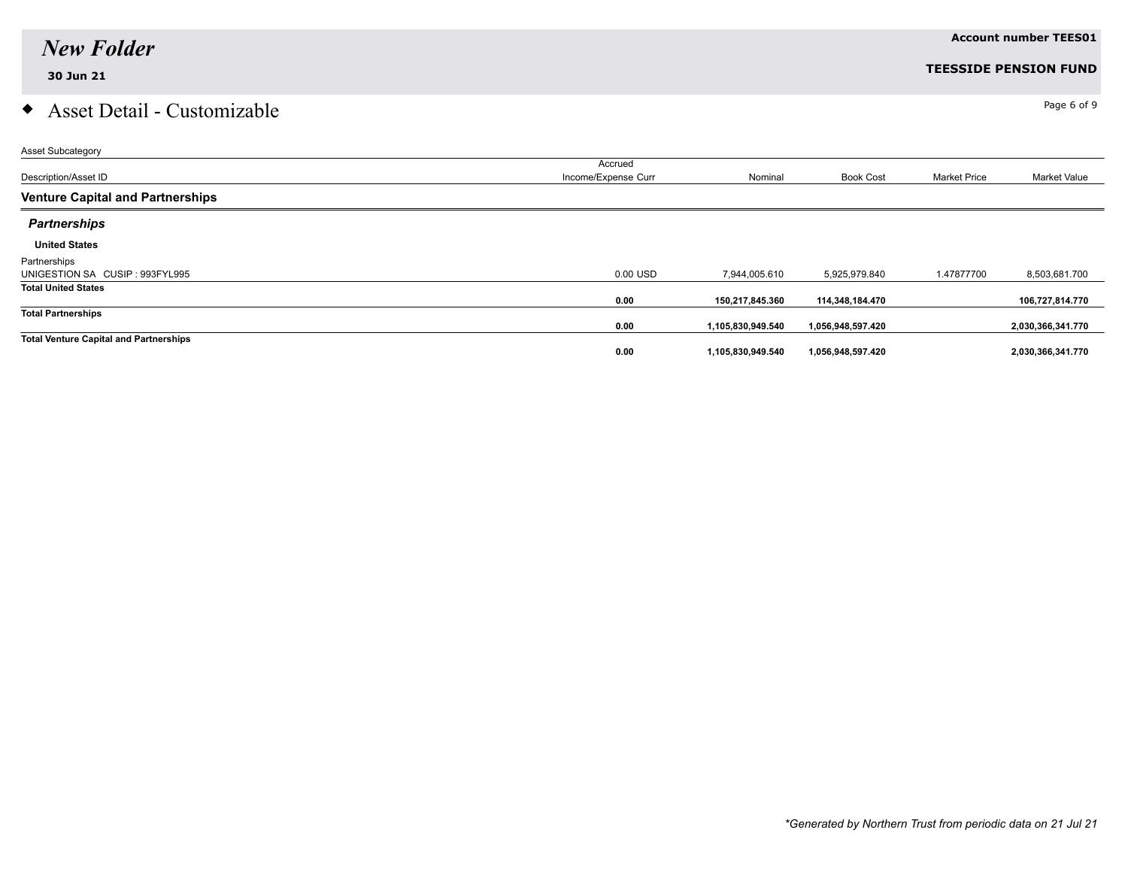# $\bullet$  Asset Detail - Customizable  $\bullet$

| Asset Subcategory                             |                     |                   |                   |                     |                     |
|-----------------------------------------------|---------------------|-------------------|-------------------|---------------------|---------------------|
|                                               | Accrued             |                   |                   |                     |                     |
| Description/Asset ID                          | Income/Expense Curr | Nominal           | <b>Book Cost</b>  | <b>Market Price</b> | <b>Market Value</b> |
| <b>Venture Capital and Partnerships</b>       |                     |                   |                   |                     |                     |
| <b>Partnerships</b>                           |                     |                   |                   |                     |                     |
| <b>United States</b>                          |                     |                   |                   |                     |                     |
| Partnerships                                  |                     |                   |                   |                     |                     |
| UNIGESTION SA CUSIP: 993FYL995                | 0.00 USD            | 7,944,005.610     | 5,925,979.840     | 1.47877700          | 8,503,681.700       |
| <b>Total United States</b>                    |                     |                   |                   |                     |                     |
|                                               | 0.00                | 150,217,845.360   | 114,348,184.470   |                     | 106,727,814.770     |
| <b>Total Partnerships</b>                     |                     |                   |                   |                     |                     |
|                                               | 0.00                | 1,105,830,949.540 | 1,056,948,597.420 |                     | 2,030,366,341.770   |
| <b>Total Venture Capital and Partnerships</b> |                     |                   |                   |                     |                     |
|                                               | 0.00                | 1,105,830,949.540 | 1,056,948,597.420 |                     | 2,030,366,341.770   |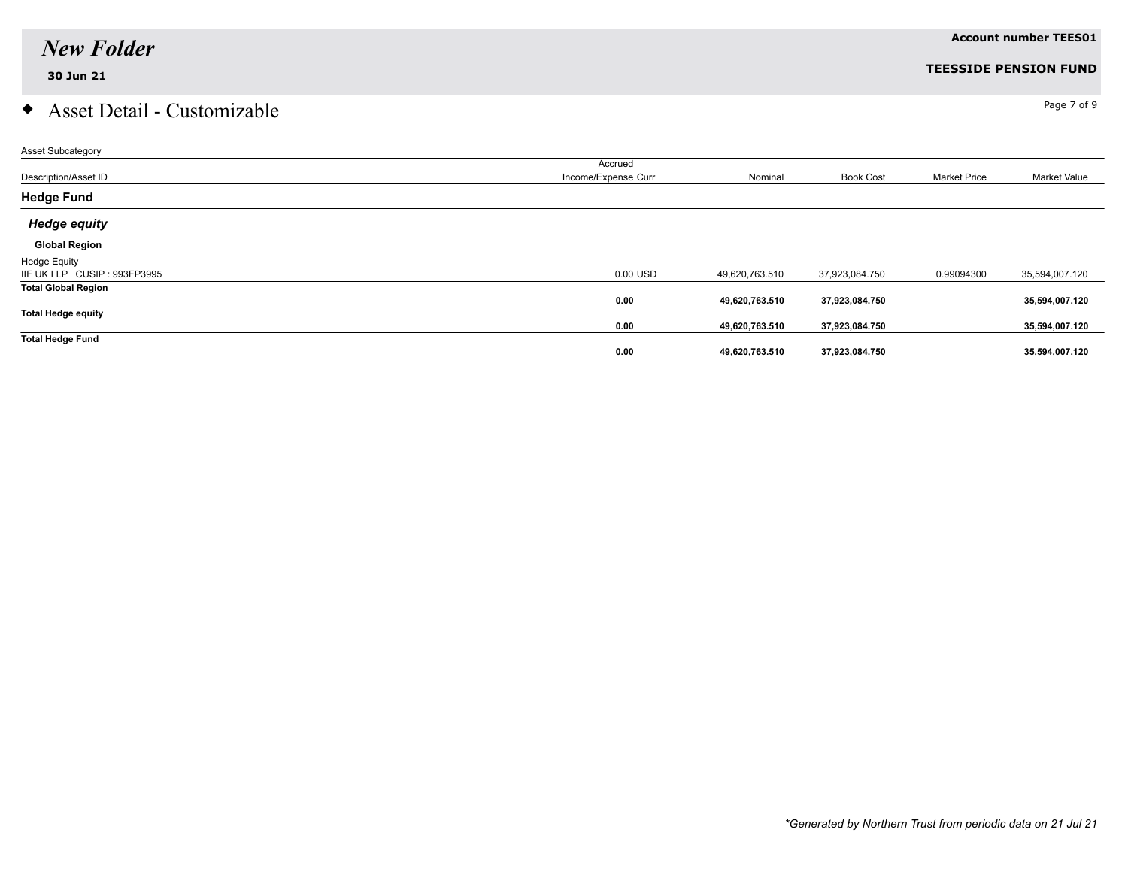# $\bullet$  Asset Detail - Customizable  $\bullet$

| Asset Subcategory             |                     |                |                  |                     |                |
|-------------------------------|---------------------|----------------|------------------|---------------------|----------------|
|                               | Accrued             |                |                  |                     |                |
| Description/Asset ID          | Income/Expense Curr | Nominal        | <b>Book Cost</b> | <b>Market Price</b> | Market Value   |
| <b>Hedge Fund</b>             |                     |                |                  |                     |                |
| <b>Hedge equity</b>           |                     |                |                  |                     |                |
| <b>Global Region</b>          |                     |                |                  |                     |                |
| <b>Hedge Equity</b>           |                     |                |                  |                     |                |
| IIF UK I LP CUSIP : 993FP3995 | 0.00 USD            | 49,620,763.510 | 37,923,084.750   | 0.99094300          | 35,594,007.120 |
| <b>Total Global Region</b>    |                     |                |                  |                     |                |
|                               | 0.00                | 49,620,763.510 | 37,923,084.750   |                     | 35,594,007.120 |
| <b>Total Hedge equity</b>     |                     |                |                  |                     |                |
|                               | 0.00                | 49,620,763.510 | 37,923,084.750   |                     | 35,594,007.120 |
| <b>Total Hedge Fund</b>       |                     |                |                  |                     |                |
|                               | 0.00                | 49,620,763.510 | 37,923,084.750   |                     | 35,594,007.120 |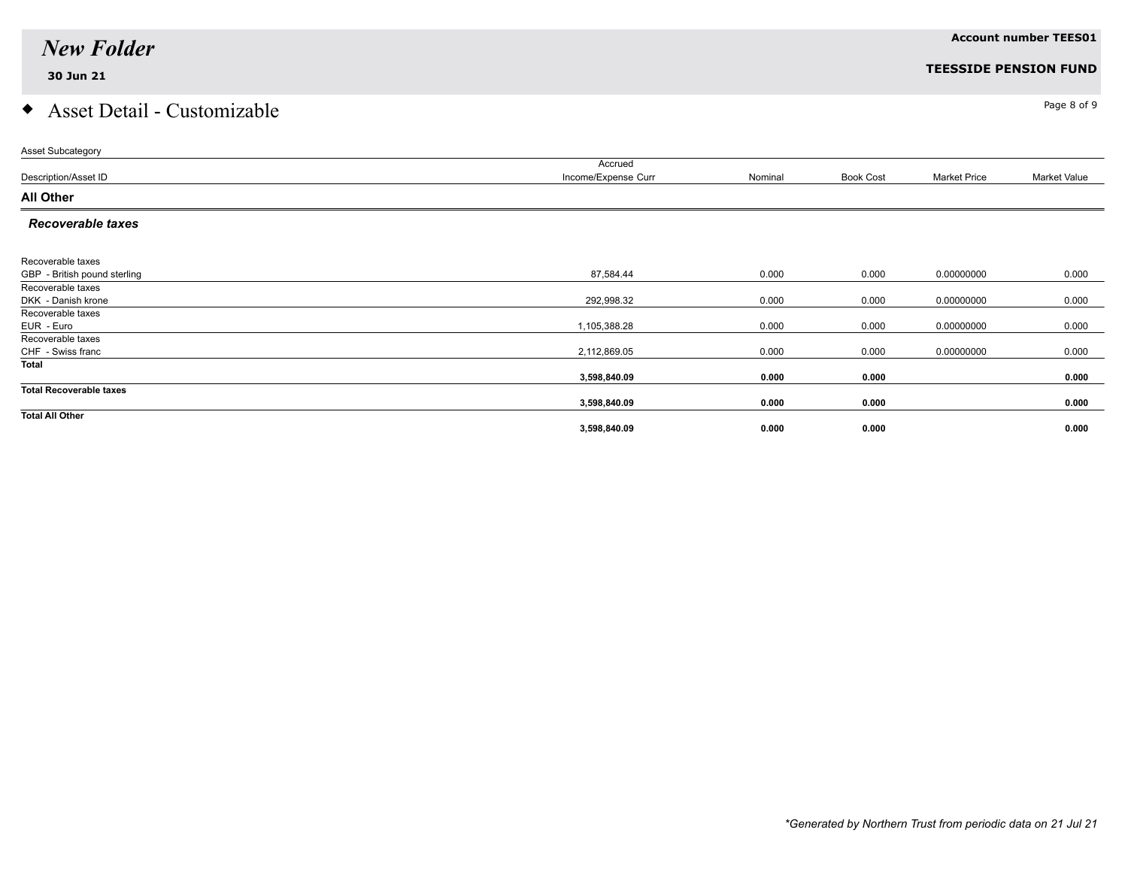## $\bullet$  Asset Detail - Customizable  $\bullet$

| <b>Asset Subcategory</b>       |                     |         |                  |                     |                     |
|--------------------------------|---------------------|---------|------------------|---------------------|---------------------|
|                                | Accrued             |         |                  |                     |                     |
| Description/Asset ID           | Income/Expense Curr | Nominal | <b>Book Cost</b> | <b>Market Price</b> | <b>Market Value</b> |
| <b>All Other</b>               |                     |         |                  |                     |                     |
| <b>Recoverable taxes</b>       |                     |         |                  |                     |                     |
|                                |                     |         |                  |                     |                     |
| Recoverable taxes              |                     |         |                  |                     |                     |
| GBP - British pound sterling   | 87,584.44           | 0.000   | 0.000            | 0.00000000          | 0.000               |
| Recoverable taxes              |                     |         |                  |                     |                     |
| DKK - Danish krone             | 292,998.32          | 0.000   | 0.000            | 0.00000000          | 0.000               |
| Recoverable taxes              |                     |         |                  |                     |                     |
| EUR - Euro                     | 1,105,388.28        | 0.000   | 0.000            | 0.00000000          | 0.000               |
| Recoverable taxes              |                     |         |                  |                     |                     |
| CHF - Swiss franc              | 2,112,869.05        | 0.000   | 0.000            | 0.00000000          | 0.000               |
| Total                          |                     |         |                  |                     |                     |
|                                | 3,598,840.09        | 0.000   | 0.000            |                     | 0.000               |
| <b>Total Recoverable taxes</b> |                     |         |                  |                     |                     |
|                                | 3,598,840.09        | 0.000   | 0.000            |                     | 0.000               |
| <b>Total All Other</b>         |                     |         |                  |                     |                     |
|                                | 3,598,840.09        | 0.000   | 0.000            |                     | 0.000               |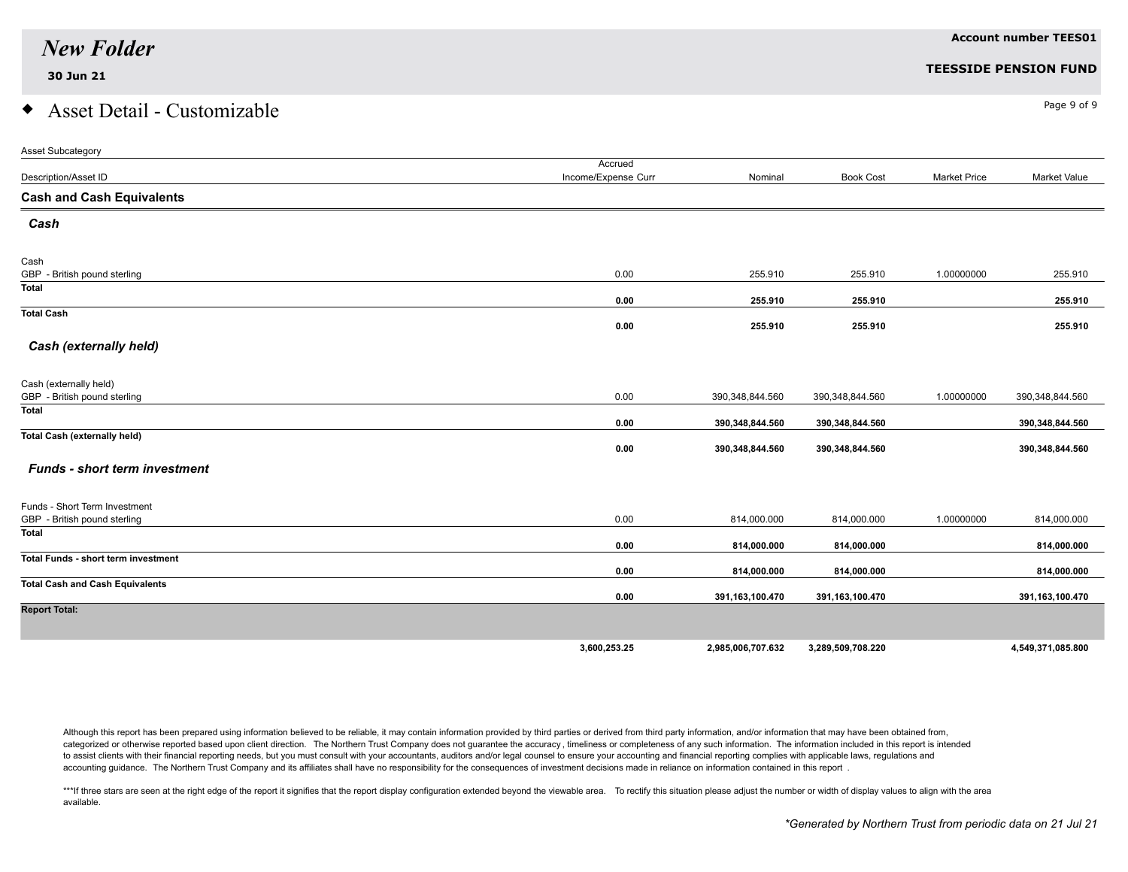### $\bullet$  Asset Detail - Customizable  $\bullet$

| Asset Subcategory                          |                     |                   |                   |                     |                   |
|--------------------------------------------|---------------------|-------------------|-------------------|---------------------|-------------------|
|                                            | Accrued             |                   |                   |                     |                   |
| Description/Asset ID                       | Income/Expense Curr | Nominal           | <b>Book Cost</b>  | <b>Market Price</b> | Market Value      |
| <b>Cash and Cash Equivalents</b>           |                     |                   |                   |                     |                   |
| Cash                                       |                     |                   |                   |                     |                   |
| Cash                                       |                     |                   |                   |                     |                   |
| GBP - British pound sterling               | 0.00                | 255.910           | 255.910           | 1.00000000          | 255.910           |
| Total                                      | 0.00                | 255.910           | 255.910           |                     | 255.910           |
| <b>Total Cash</b>                          | 0.00                | 255.910           | 255.910           |                     | 255.910           |
| Cash (externally held)                     |                     |                   |                   |                     |                   |
|                                            |                     |                   |                   |                     |                   |
| Cash (externally held)                     |                     |                   |                   |                     |                   |
| GBP - British pound sterling<br>Total      | 0.00                | 390,348,844.560   | 390,348,844.560   | 1.00000000          | 390,348,844.560   |
|                                            | 0.00                | 390,348,844.560   | 390,348,844.560   |                     | 390,348,844.560   |
| <b>Total Cash (externally held)</b>        | 0.00                | 390,348,844.560   | 390,348,844.560   |                     | 390,348,844.560   |
| <b>Funds - short term investment</b>       |                     |                   |                   |                     |                   |
| Funds - Short Term Investment              |                     |                   |                   |                     |                   |
| GBP - British pound sterling               | 0.00                | 814,000.000       | 814,000.000       | 1.00000000          | 814,000.000       |
| <b>Total</b>                               | 0.00                | 814,000.000       | 814,000.000       |                     | 814,000.000       |
| <b>Total Funds - short term investment</b> |                     |                   |                   |                     |                   |
|                                            | 0.00                | 814,000.000       | 814,000.000       |                     | 814,000.000       |
| <b>Total Cash and Cash Equivalents</b>     | 0.00                | 391,163,100.470   | 391,163,100.470   |                     | 391,163,100.470   |
| <b>Report Total:</b>                       |                     |                   |                   |                     |                   |
|                                            |                     |                   |                   |                     |                   |
|                                            | 3,600,253.25        | 2,985,006,707.632 | 3,289,509,708.220 |                     | 4,549,371,085.800 |

Although this report has been prepared using information believed to be reliable, it may contain information provided by third parties or derived from third party information, and/or information that may have been obtained categorized or otherwise reported based upon client direction. The Northern Trust Company does not guarantee the accuracy, timeliness or completeness of any such information. The information included in this report is inte to assist clients with their financial reporting needs, but you must consult with your accountants, auditors and/or legal counsel to ensure your accounting and financial reporting complies with applicable laws, regulations accounting guidance. The Northern Trust Company and its affiliates shall have no responsibility for the consequences of investment decisions made in reliance on information contained in this report .

\*\*\*If three stars are seen at the right edge of the report it signifies that the report display configuration extended beyond the viewable area. To rectify this situation please adjust the number or width of display values available.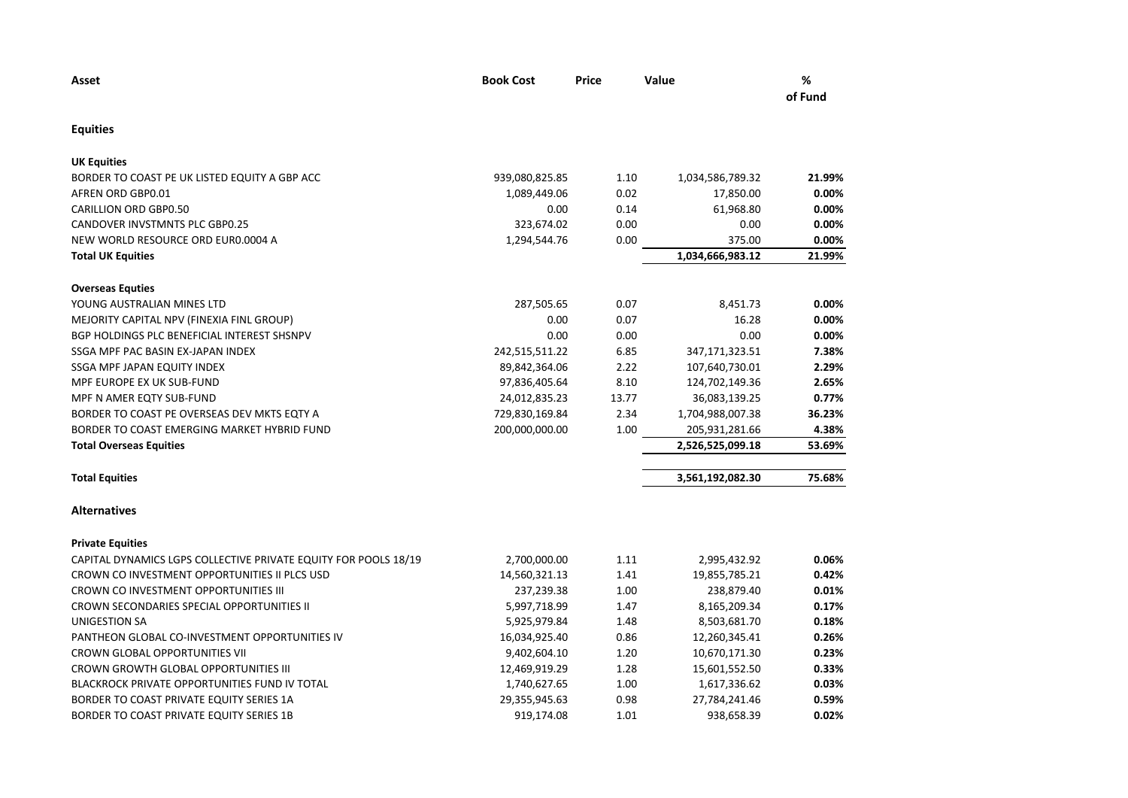| Asset                                                           | <b>Book Cost</b> | Price | Value            | %<br>of Fund |
|-----------------------------------------------------------------|------------------|-------|------------------|--------------|
| <b>Equities</b>                                                 |                  |       |                  |              |
| <b>UK Equities</b>                                              |                  |       |                  |              |
| BORDER TO COAST PE UK LISTED EQUITY A GBP ACC                   | 939,080,825.85   | 1.10  | 1,034,586,789.32 | 21.99%       |
| AFREN ORD GBP0.01                                               | 1,089,449.06     | 0.02  | 17,850.00        | 0.00%        |
| <b>CARILLION ORD GBP0.50</b>                                    | 0.00             | 0.14  | 61,968.80        | 0.00%        |
| <b>CANDOVER INVSTMNTS PLC GBP0.25</b>                           | 323,674.02       | 0.00  | 0.00             | 0.00%        |
| NEW WORLD RESOURCE ORD EUR0.0004 A                              | 1,294,544.76     | 0.00  | 375.00           | 0.00%        |
| <b>Total UK Equities</b>                                        |                  |       | 1,034,666,983.12 | 21.99%       |
| <b>Overseas Equties</b>                                         |                  |       |                  |              |
| YOUNG AUSTRALIAN MINES LTD                                      | 287,505.65       | 0.07  | 8,451.73         | 0.00%        |
| MEJORITY CAPITAL NPV (FINEXIA FINL GROUP)                       | 0.00             | 0.07  | 16.28            | 0.00%        |
| BGP HOLDINGS PLC BENEFICIAL INTEREST SHSNPV                     | 0.00             | 0.00  | 0.00             | 0.00%        |
| SSGA MPF PAC BASIN EX-JAPAN INDEX                               | 242,515,511.22   | 6.85  | 347,171,323.51   | 7.38%        |
| SSGA MPF JAPAN EQUITY INDEX                                     | 89,842,364.06    | 2.22  | 107,640,730.01   | 2.29%        |
| MPF EUROPE EX UK SUB-FUND                                       | 97,836,405.64    | 8.10  | 124,702,149.36   | 2.65%        |
| MPF N AMER EQTY SUB-FUND                                        | 24,012,835.23    | 13.77 | 36,083,139.25    | 0.77%        |
| BORDER TO COAST PE OVERSEAS DEV MKTS EQTY A                     | 729,830,169.84   | 2.34  | 1,704,988,007.38 | 36.23%       |
| BORDER TO COAST EMERGING MARKET HYBRID FUND                     | 200,000,000.00   | 1.00  | 205,931,281.66   | 4.38%        |
| <b>Total Overseas Equities</b>                                  |                  |       | 2,526,525,099.18 | 53.69%       |
| <b>Total Equities</b>                                           |                  |       | 3,561,192,082.30 | 75.68%       |
| <b>Alternatives</b>                                             |                  |       |                  |              |
| <b>Private Equities</b>                                         |                  |       |                  |              |
| CAPITAL DYNAMICS LGPS COLLECTIVE PRIVATE EQUITY FOR POOLS 18/19 | 2,700,000.00     | 1.11  | 2,995,432.92     | 0.06%        |
| CROWN CO INVESTMENT OPPORTUNITIES II PLCS USD                   | 14,560,321.13    | 1.41  | 19,855,785.21    | 0.42%        |
| CROWN CO INVESTMENT OPPORTUNITIES III                           | 237,239.38       | 1.00  | 238,879.40       | 0.01%        |
| CROWN SECONDARIES SPECIAL OPPORTUNITIES II                      | 5,997,718.99     | 1.47  | 8,165,209.34     | 0.17%        |
| UNIGESTION SA                                                   | 5,925,979.84     | 1.48  | 8,503,681.70     | 0.18%        |
| PANTHEON GLOBAL CO-INVESTMENT OPPORTUNITIES IV                  | 16,034,925.40    | 0.86  | 12,260,345.41    | 0.26%        |
| <b>CROWN GLOBAL OPPORTUNITIES VII</b>                           | 9,402,604.10     | 1.20  | 10,670,171.30    | 0.23%        |
| <b>CROWN GROWTH GLOBAL OPPORTUNITIES III</b>                    | 12,469,919.29    | 1.28  | 15,601,552.50    | 0.33%        |
| BLACKROCK PRIVATE OPPORTUNITIES FUND IV TOTAL                   | 1,740,627.65     | 1.00  | 1,617,336.62     | 0.03%        |
| BORDER TO COAST PRIVATE EQUITY SERIES 1A                        | 29,355,945.63    | 0.98  | 27,784,241.46    | 0.59%        |
| BORDER TO COAST PRIVATE EQUITY SERIES 1B                        | 919,174.08       | 1.01  | 938,658.39       | 0.02%        |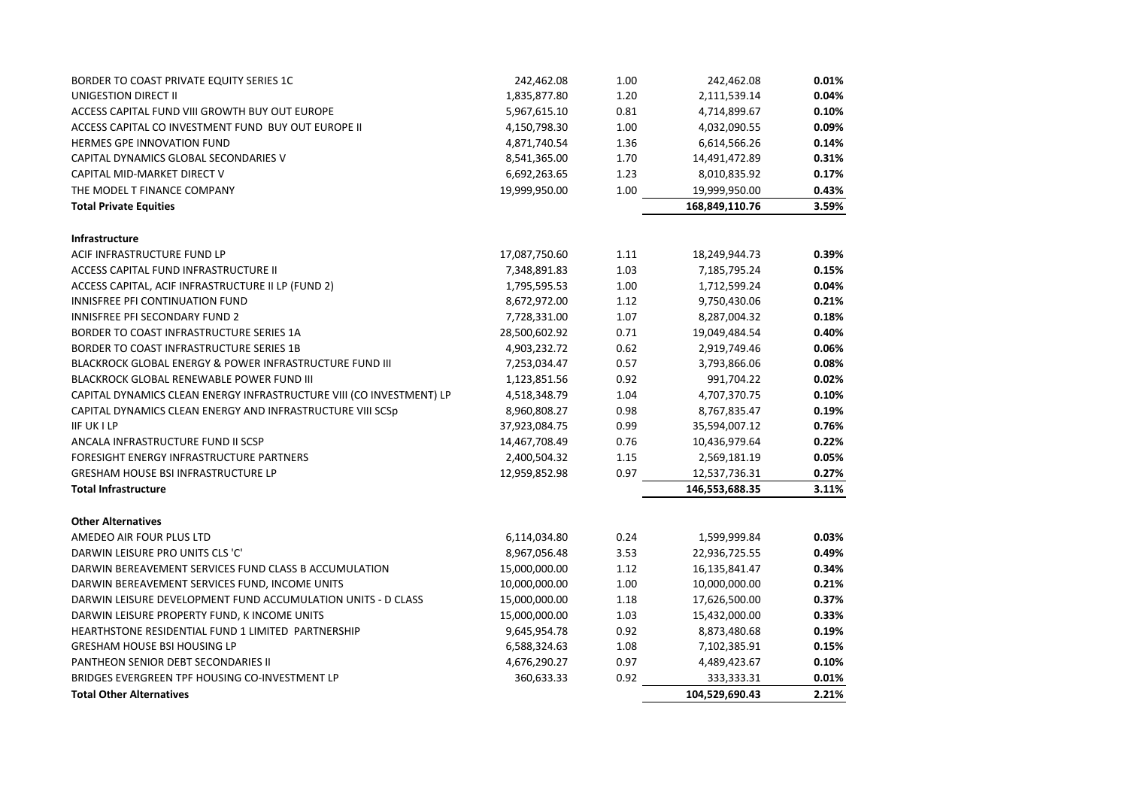| BORDER TO COAST PRIVATE EQUITY SERIES 1C                             | 242,462.08    | 1.00 | 242,462.08     | 0.01% |
|----------------------------------------------------------------------|---------------|------|----------------|-------|
| UNIGESTION DIRECT II                                                 | 1,835,877.80  | 1.20 | 2,111,539.14   | 0.04% |
| ACCESS CAPITAL FUND VIII GROWTH BUY OUT EUROPE                       | 5,967,615.10  | 0.81 | 4,714,899.67   | 0.10% |
| ACCESS CAPITAL CO INVESTMENT FUND BUY OUT EUROPE II                  | 4,150,798.30  | 1.00 | 4,032,090.55   | 0.09% |
| <b>HERMES GPE INNOVATION FUND</b>                                    | 4,871,740.54  | 1.36 | 6,614,566.26   | 0.14% |
| CAPITAL DYNAMICS GLOBAL SECONDARIES V                                | 8,541,365.00  | 1.70 | 14,491,472.89  | 0.31% |
| CAPITAL MID-MARKET DIRECT V                                          | 6,692,263.65  | 1.23 | 8,010,835.92   | 0.17% |
| THE MODEL T FINANCE COMPANY                                          | 19,999,950.00 | 1.00 | 19,999,950.00  | 0.43% |
| <b>Total Private Equities</b>                                        |               |      | 168,849,110.76 | 3.59% |
| <b>Infrastructure</b>                                                |               |      |                |       |
| ACIF INFRASTRUCTURE FUND LP                                          | 17,087,750.60 | 1.11 | 18,249,944.73  | 0.39% |
| ACCESS CAPITAL FUND INFRASTRUCTURE II                                | 7,348,891.83  | 1.03 | 7,185,795.24   | 0.15% |
| ACCESS CAPITAL, ACIF INFRASTRUCTURE II LP (FUND 2)                   | 1,795,595.53  | 1.00 | 1,712,599.24   | 0.04% |
| INNISFREE PFI CONTINUATION FUND                                      | 8,672,972.00  | 1.12 | 9,750,430.06   | 0.21% |
| <b>INNISFREE PFI SECONDARY FUND 2</b>                                | 7,728,331.00  | 1.07 | 8,287,004.32   | 0.18% |
| BORDER TO COAST INFRASTRUCTURE SERIES 1A                             | 28,500,602.92 | 0.71 | 19,049,484.54  | 0.40% |
| BORDER TO COAST INFRASTRUCTURE SERIES 1B                             | 4,903,232.72  | 0.62 | 2,919,749.46   | 0.06% |
| BLACKROCK GLOBAL ENERGY & POWER INFRASTRUCTURE FUND III              | 7,253,034.47  | 0.57 | 3,793,866.06   | 0.08% |
| BLACKROCK GLOBAL RENEWABLE POWER FUND III                            | 1,123,851.56  | 0.92 | 991,704.22     | 0.02% |
| CAPITAL DYNAMICS CLEAN ENERGY INFRASTRUCTURE VIII (CO INVESTMENT) LP | 4,518,348.79  | 1.04 | 4,707,370.75   | 0.10% |
| CAPITAL DYNAMICS CLEAN ENERGY AND INFRASTRUCTURE VIII SCSp           | 8,960,808.27  | 0.98 | 8,767,835.47   | 0.19% |
| <b>IIF UK I LP</b>                                                   | 37,923,084.75 | 0.99 | 35,594,007.12  | 0.76% |
| ANCALA INFRASTRUCTURE FUND II SCSP                                   | 14,467,708.49 | 0.76 | 10,436,979.64  | 0.22% |
| FORESIGHT ENERGY INFRASTRUCTURE PARTNERS                             | 2,400,504.32  | 1.15 | 2,569,181.19   | 0.05% |
| <b>GRESHAM HOUSE BSI INFRASTRUCTURE LP</b>                           | 12,959,852.98 | 0.97 | 12,537,736.31  | 0.27% |
| <b>Total Infrastructure</b>                                          |               |      | 146,553,688.35 | 3.11% |
| <b>Other Alternatives</b>                                            |               |      |                |       |
| AMEDEO AIR FOUR PLUS LTD                                             | 6,114,034.80  | 0.24 | 1,599,999.84   | 0.03% |
| DARWIN LEISURE PRO UNITS CLS 'C'                                     | 8,967,056.48  | 3.53 | 22,936,725.55  | 0.49% |
| DARWIN BEREAVEMENT SERVICES FUND CLASS B ACCUMULATION                | 15,000,000.00 | 1.12 | 16,135,841.47  | 0.34% |
| DARWIN BEREAVEMENT SERVICES FUND, INCOME UNITS                       | 10,000,000.00 | 1.00 | 10,000,000.00  | 0.21% |
| DARWIN LEISURE DEVELOPMENT FUND ACCUMULATION UNITS - D CLASS         | 15,000,000.00 | 1.18 | 17,626,500.00  | 0.37% |
| DARWIN LEISURE PROPERTY FUND, K INCOME UNITS                         | 15,000,000.00 | 1.03 | 15,432,000.00  | 0.33% |
| HEARTHSTONE RESIDENTIAL FUND 1 LIMITED PARTNERSHIP                   | 9,645,954.78  | 0.92 | 8,873,480.68   | 0.19% |
| <b>GRESHAM HOUSE BSI HOUSING LP</b>                                  | 6,588,324.63  | 1.08 | 7,102,385.91   | 0.15% |
| PANTHEON SENIOR DEBT SECONDARIES II                                  | 4,676,290.27  | 0.97 | 4,489,423.67   | 0.10% |
| BRIDGES EVERGREEN TPF HOUSING CO-INVESTMENT LP                       | 360,633.33    | 0.92 | 333,333.31     | 0.01% |
| <b>Total Other Alternatives</b>                                      |               |      | 104,529,690.43 | 2.21% |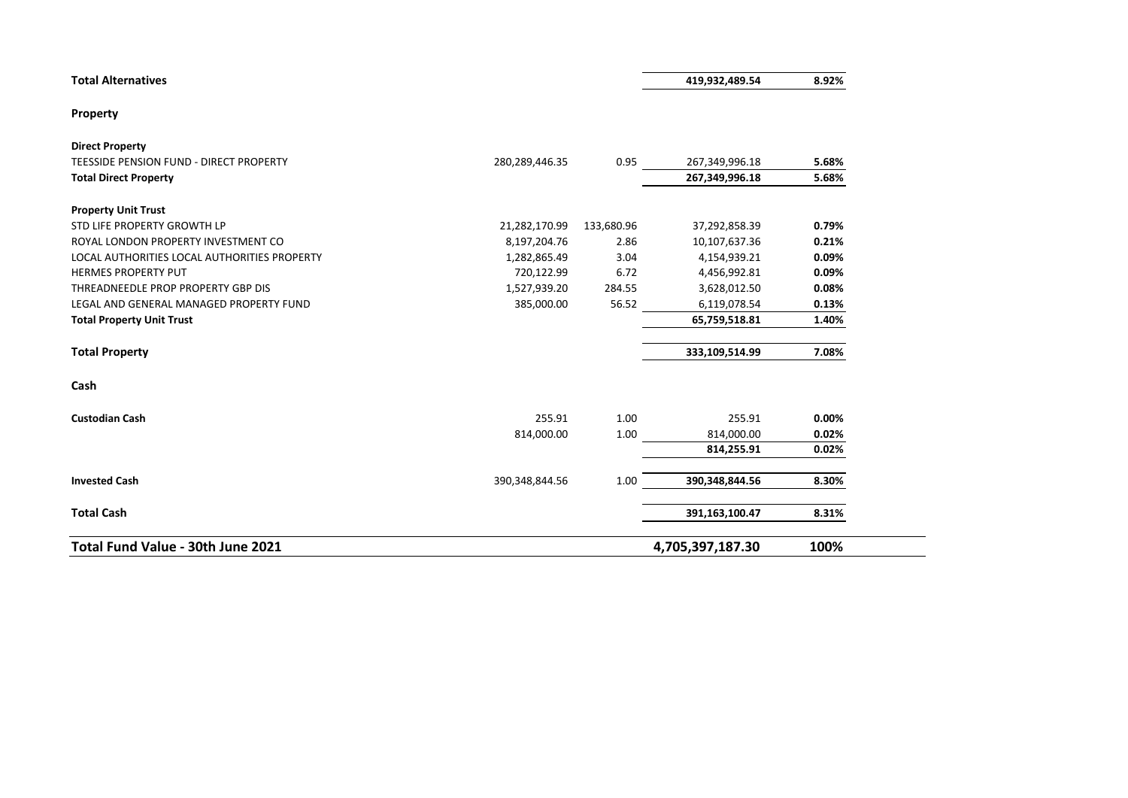|  | <b>Total Alternatives</b> |  |
|--|---------------------------|--|
|--|---------------------------|--|

| 419.932.489.54 | 8.92% |
|----------------|-------|
|                |       |

#### **Property**

| Total Fund Value - 30th June 2021                                 |                |            | 4,705,397,187.30 | 100%  |
|-------------------------------------------------------------------|----------------|------------|------------------|-------|
| <b>Total Cash</b>                                                 |                |            | 391,163,100.47   | 8.31% |
| <b>Invested Cash</b>                                              | 390,348,844.56 | 1.00       | 390,348,844.56   | 8.30% |
|                                                                   |                |            | 814,255.91       | 0.02% |
|                                                                   | 814,000.00     | 1.00       | 814,000.00       | 0.02% |
| <b>Custodian Cash</b>                                             | 255.91         | 1.00       | 255.91           | 0.00% |
| Cash                                                              |                |            |                  |       |
| <b>Total Property</b>                                             |                |            | 333,109,514.99   | 7.08% |
| <b>Total Property Unit Trust</b>                                  |                |            | 65,759,518.81    | 1.40% |
| LEGAL AND GENERAL MANAGED PROPERTY FUND                           | 385,000.00     | 56.52      | 6,119,078.54     | 0.13% |
| THREADNEEDLE PROP PROPERTY GBP DIS                                | 1,527,939.20   | 284.55     | 3,628,012.50     | 0.08% |
| <b>HERMES PROPERTY PUT</b>                                        | 720,122.99     | 6.72       | 4,456,992.81     | 0.09% |
| LOCAL AUTHORITIES LOCAL AUTHORITIES PROPERTY                      | 1,282,865.49   | 3.04       | 4,154,939.21     | 0.09% |
| ROYAL LONDON PROPERTY INVESTMENT CO                               | 8,197,204.76   | 2.86       | 10,107,637.36    | 0.21% |
| <b>Property Unit Trust</b><br>STD LIFE PROPERTY GROWTH LP         | 21,282,170.99  | 133,680.96 | 37,292,858.39    | 0.79% |
|                                                                   |                |            |                  |       |
| <b>Total Direct Property</b>                                      |                |            | 267,349,996.18   | 5.68% |
| <b>Direct Property</b><br>TEESSIDE PENSION FUND - DIRECT PROPERTY | 280,289,446.35 | 0.95       | 267,349,996.18   | 5.68% |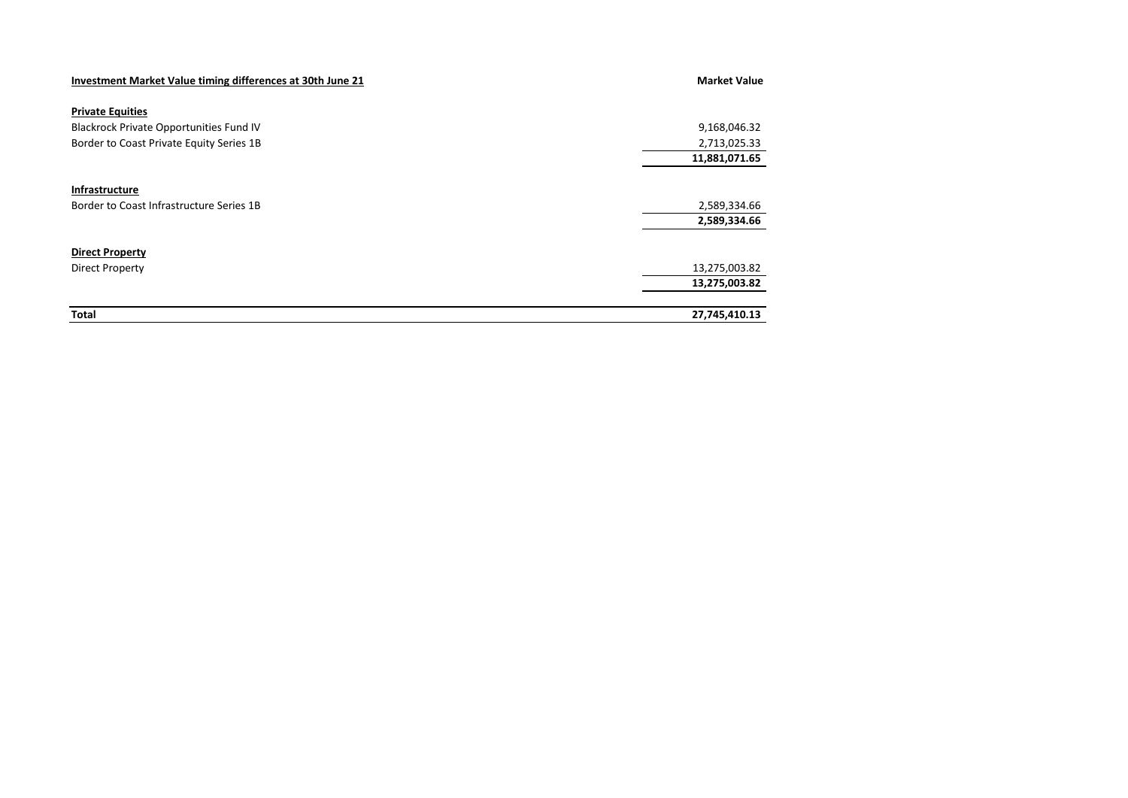| Investment Market Value timing differences at 30th June 21 | <b>Market Value</b> |
|------------------------------------------------------------|---------------------|
| <b>Private Equities</b>                                    |                     |
| <b>Blackrock Private Opportunities Fund IV</b>             | 9,168,046.32        |
| Border to Coast Private Equity Series 1B                   | 2,713,025.33        |
|                                                            | 11,881,071.65       |
|                                                            |                     |
| Infrastructure                                             |                     |
| Border to Coast Infrastructure Series 1B                   | 2,589,334.66        |
|                                                            | 2,589,334.66        |
| <b>Direct Property</b>                                     |                     |
| Direct Property                                            | 13,275,003.82       |
|                                                            | 13,275,003.82       |
| <b>Total</b>                                               | 27,745,410.13       |